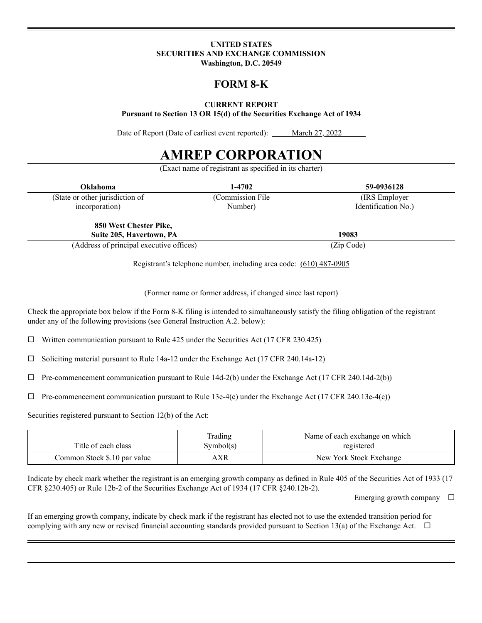#### **UNITED STATES SECURITIES AND EXCHANGE COMMISSION Washington, D.C. 20549**

## **FORM 8-K**

**CURRENT REPORT**

**Pursuant to Section 13 OR 15(d) of the Securities Exchange Act of 1934**

Date of Report (Date of earliest event reported): March 27, 2022

# **AMREP CORPORATION**

(Exact name of registrant as specified in its charter)

| Oklahoma                                           | 1-4702            | 59-0936128          |
|----------------------------------------------------|-------------------|---------------------|
| (State or other jurisdiction of                    | (Commission File) | (IRS Employer)      |
| incorporation)                                     | Number)           | Identification No.) |
| 850 West Chester Pike,<br>Suite 205, Havertown, PA |                   | 19083               |

(Address of principal executive offices) (Zip Code)

Registrant's telephone number, including area code: (610) 487-0905

(Former name or former address, if changed since last report)

Check the appropriate box below if the Form 8-K filing is intended to simultaneously satisfy the filing obligation of the registrant under any of the following provisions (see General Instruction A.2. below):

 $\Box$  Written communication pursuant to Rule 425 under the Securities Act (17 CFR 230.425)

 $\Box$  Soliciting material pursuant to Rule 14a-12 under the Exchange Act (17 CFR 240.14a-12)

 $\Box$  Pre-commencement communication pursuant to Rule 14d-2(b) under the Exchange Act (17 CFR 240.14d-2(b))

 $\Box$  Pre-commencement communication pursuant to Rule 13e-4(c) under the Exchange Act (17 CFR 240.13e-4(c))

Securities registered pursuant to Section 12(b) of the Act:

| Title of each class          | Trading<br>Symbol(s) | Name of each exchange on which<br>registered |
|------------------------------|----------------------|----------------------------------------------|
| Common Stock \$.10 par value | AXR                  | New York Stock Exchange                      |

Indicate by check mark whether the registrant is an emerging growth company as defined in Rule 405 of the Securities Act of 1933 (17 CFR §230.405) or Rule 12b-2 of the Securities Exchange Act of 1934 (17 CFR §240.12b-2).

Emerging growth company  $\Box$ 

If an emerging growth company, indicate by check mark if the registrant has elected not to use the extended transition period for complying with any new or revised financial accounting standards provided pursuant to Section 13(a) of the Exchange Act.  $\Box$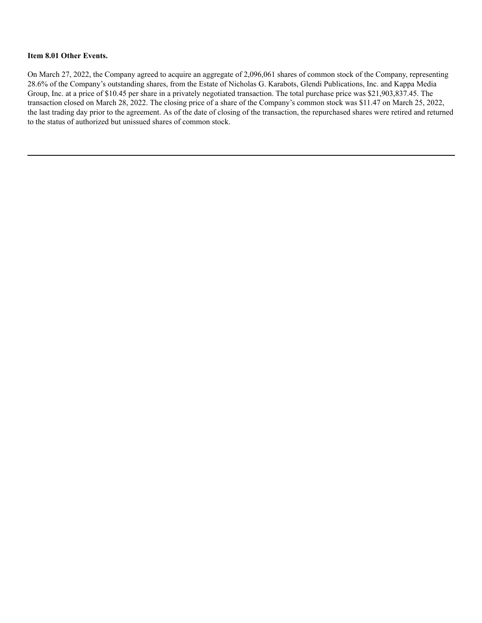#### **Item 8.01 Other Events.**

On March 27, 2022, the Company agreed to acquire an aggregate of 2,096,061 shares of common stock of the Company, representing 28.6% of the Company's outstanding shares, from the Estate of Nicholas G. Karabots, Glendi Publications, Inc. and Kappa Media Group, Inc. at a price of \$10.45 per share in a privately negotiated transaction. The total purchase price was \$21,903,837.45. The transaction closed on March 28, 2022. The closing price of a share of the Company's common stock was \$11.47 on March 25, 2022, the last trading day prior to the agreement. As of the date of closing of the transaction, the repurchased shares were retired and returned to the status of authorized but unissued shares of common stock.